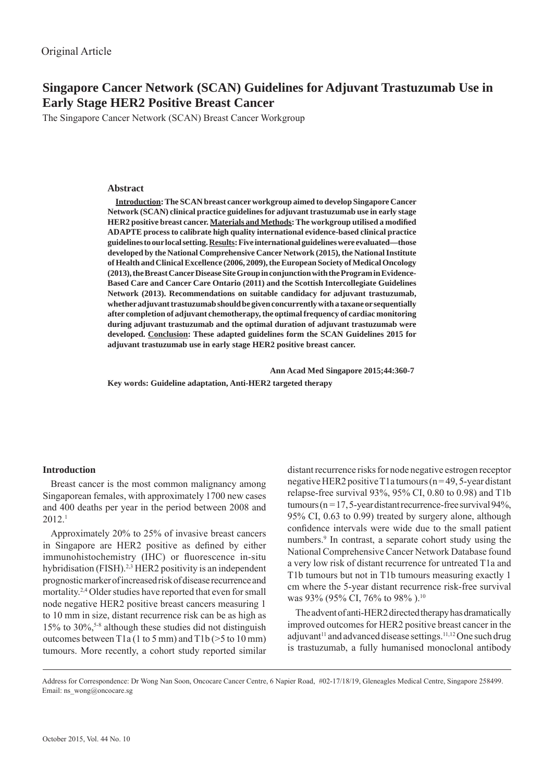# **Singapore Cancer Network (SCAN) Guidelines for Adjuvant Trastuzumab Use in Early Stage HER2 Positive Breast Cancer**

The Singapore Cancer Network (SCAN) Breast Cancer Workgroup

### **Abstract**

**Introduction: The SCAN breast cancer workgroup aimed to develop Singapore Cancer Network (SCAN) clinical practice guidelines for adjuvant trastuzumab use in early stage HER2 positive breast cancer. Materials and Methods: The workgroup utilised a modifi ed ADAPTE process to calibrate high quality international evidence-based clinical practice guidelines to our local setting. Results: Five international guidelines were evaluated—those developed by the National Comprehensive Cancer Network (2015), the National Institute of Health and Clinical Excellence (2006, 2009), the European Society of Medical Oncology (2013), the Breast Cancer Disease Site Group in conjunction with the Program in Evidence-Based Care and Cancer Care Ontario (2011) and the Scottish Intercollegiate Guidelines Network (2013). Recommendations on suitable candidacy for adjuvant trastuzumab, whether adjuvant trastuzumab should be given concurrently with a taxane or sequentially after completion of adjuvant chemotherapy, the optimal frequency of cardiac monitoring during adjuvant trastuzumab and the optimal duration of adjuvant trastuzumab were developed. Conclusion: These adapted guidelines form the SCAN Guidelines 2015 for adjuvant trastuzumab use in early stage HER2 positive breast cancer.** 

 **Ann Acad Med Singapore 2015;44:360-7**

**Key words: Guideline adaptation, Anti-HER2 targeted therapy** 

# **Introduction**

Breast cancer is the most common malignancy among Singaporean females, with approximately 1700 new cases and 400 deaths per year in the period between 2008 and 2012.1

Approximately 20% to 25% of invasive breast cancers in Singapore are HER2 positive as defined by either immunohistochemistry (IHC) or fluorescence in-situ hybridisation (FISH).<sup>2,3</sup> HER2 positivity is an independent prognostic marker of increased risk of disease recurrence and mortality.<sup>2,4</sup> Older studies have reported that even for small node negative HER2 positive breast cancers measuring 1 to 10 mm in size, distant recurrence risk can be as high as 15% to 30%,<sup>5-8</sup> although these studies did not distinguish outcomes between T1a (1 to 5 mm) and T1b (>5 to 10 mm) tumours. More recently, a cohort study reported similar

distant recurrence risks for node negative estrogen receptor negative HER2 positive  $T1a$  tumours (n = 49, 5-year distant relapse-free survival  $93\%$ ,  $95\%$  CI, 0.80 to 0.98) and T1b tumours ( $n = 17$ , 5-year distant recurrence-free survival 94%, 95% CI, 0.63 to 0.99) treated by surgery alone, although confidence intervals were wide due to the small patient numbers.<sup>9</sup> In contrast, a separate cohort study using the National Comprehensive Cancer Network Database found a very low risk of distant recurrence for untreated T1a and T1b tumours but not in T1b tumours measuring exactly 1 cm where the 5-year distant recurrence risk-free survival was 93% (95% CI, 76% to 98%).<sup>10</sup>

The advent of anti-HER2 directed therapy has dramatically improved outcomes for HER2 positive breast cancer in the adjuvant<sup>11</sup> and advanced disease settings.<sup>11,12</sup> One such drug is trastuzumab, a fully humanised monoclonal antibody

Address for Correspondence: Dr Wong Nan Soon, Oncocare Cancer Centre, 6 Napier Road, #02-17/18/19, Gleneagles Medical Centre, Singapore 258499. Email: ns\_wong@oncocare.sg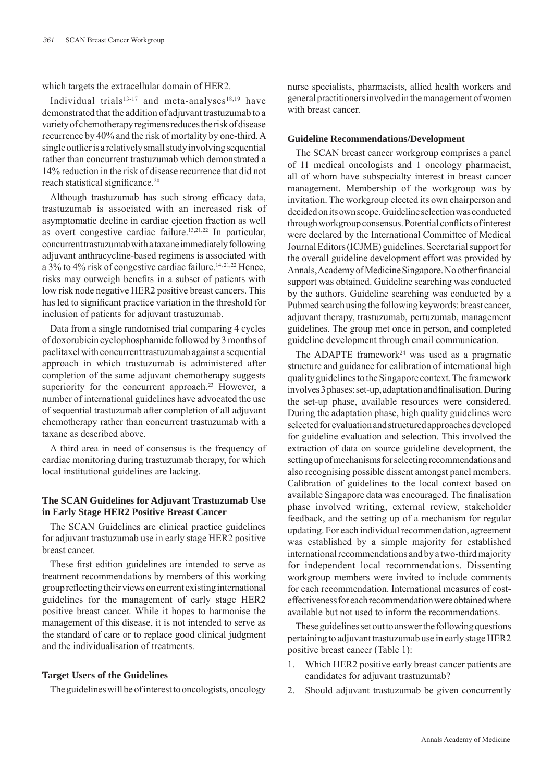which targets the extracellular domain of HER2.

Individual trials<sup>13-17</sup> and meta-analyses<sup>18,19</sup> have demonstrated that the addition of adjuvant trastuzumab to a variety of chemotherapy regimens reduces the risk of disease recurrence by 40% and the risk of mortality by one-third. A single outlier is a relatively small study involving sequential rather than concurrent trastuzumab which demonstrated a 14% reduction in the risk of disease recurrence that did not reach statistical significance.<sup>20</sup>

Although trastuzumab has such strong efficacy data, trastuzumab is associated with an increased risk of asymptomatic decline in cardiac ejection fraction as well as overt congestive cardiac failure.13,21,22 In particular, concurrent trastuzumab with a taxane immediately following adjuvant anthracycline-based regimens is associated with a 3% to 4% risk of congestive cardiac failure.<sup>14, 21, 22</sup> Hence, risks may outweigh benefits in a subset of patients with low risk node negative HER2 positive breast cancers. This has led to significant practice variation in the threshold for inclusion of patients for adjuvant trastuzumab.

Data from a single randomised trial comparing 4 cycles of doxorubicin cyclophosphamide followed by 3 months of paclitaxel with concurrent trastuzumab against a sequential approach in which trastuzumab is administered after completion of the same adjuvant chemotherapy suggests superiority for the concurrent approach.<sup>23</sup> However, a number of international guidelines have advocated the use of sequential trastuzumab after completion of all adjuvant chemotherapy rather than concurrent trastuzumab with a taxane as described above.

A third area in need of consensus is the frequency of cardiac monitoring during trastuzumab therapy, for which local institutional guidelines are lacking.

# **The SCAN Guidelines for Adjuvant Trastuzumab Use in Early Stage HER2 Positive Breast Cancer**

The SCAN Guidelines are clinical practice guidelines for adjuvant trastuzumab use in early stage HER2 positive breast cancer.

These first edition guidelines are intended to serve as treatment recommendations by members of this working group reflecting their views on current existing international guidelines for the management of early stage HER2 positive breast cancer. While it hopes to harmonise the management of this disease, it is not intended to serve as the standard of care or to replace good clinical judgment and the individualisation of treatments.

### **Target Users of the Guidelines**

The guidelines will be of interest to oncologists, oncology

nurse specialists, pharmacists, allied health workers and general practitioners involved in the management of women with breast cancer

### **Guideline Recommendations/Development**

The SCAN breast cancer workgroup comprises a panel of 11 medical oncologists and 1 oncology pharmacist, all of whom have subspecialty interest in breast cancer management. Membership of the workgroup was by invitation. The workgroup elected its own chairperson and decided on its own scope. Guideline selection was conducted through workgroup consensus. Potential conflicts of interest were declared by the International Committee of Medical Journal Editors (ICJME) guidelines. Secretarial support for the overall guideline development effort was provided by Annals, Academy of Medicine Singapore. No other financial support was obtained. Guideline searching was conducted by the authors. Guideline searching was conducted by a Pubmed search using the following keywords: breast cancer, adjuvant therapy, trastuzumab, pertuzumab, management guidelines. The group met once in person, and completed guideline development through email communication.

The ADAPTE framework<sup>24</sup> was used as a pragmatic structure and guidance for calibration of international high quality guidelines to the Singapore context. The framework involves 3 phases: set-up, adaptation and finalisation. During the set-up phase, available resources were considered. During the adaptation phase, high quality guidelines were selected for evaluation and structured approaches developed for guideline evaluation and selection. This involved the extraction of data on source guideline development, the setting up of mechanisms for selecting recommendations and also recognising possible dissent amongst panel members. Calibration of guidelines to the local context based on available Singapore data was encouraged. The finalisation phase involved writing, external review, stakeholder feedback, and the setting up of a mechanism for regular updating. For each individual recommendation, agreement was established by a simple majority for established international recommendations and by a two-third majority for independent local recommendations. Dissenting workgroup members were invited to include comments for each recommendation. International measures of costeffectiveness for each recommendation were obtained where available but not used to inform the recommendations.

These guidelines set out to answer the following questions pertaining to adjuvant trastuzumab use in early stage HER2 positive breast cancer (Table 1):

- 1. Which HER2 positive early breast cancer patients are candidates for adjuvant trastuzumab?
- 2. Should adjuvant trastuzumab be given concurrently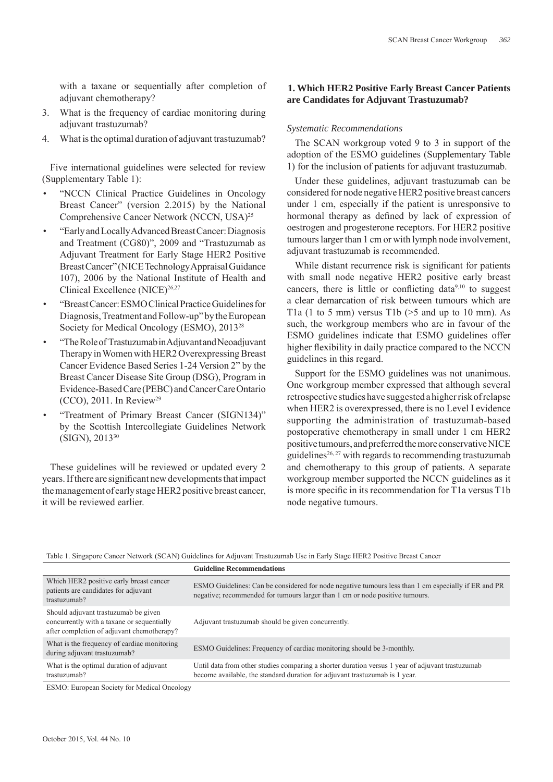with a taxane or sequentially after completion of adjuvant chemotherapy?

- 3. What is the frequency of cardiac monitoring during adjuvant trastuzumab?
- 4. What is the optimal duration of adjuvant trastuzumab?

Five international guidelines were selected for review (Supplementary Table 1):

- "NCCN Clinical Practice Guidelines in Oncology Breast Cancer" (version 2.2015) by the National Comprehensive Cancer Network (NCCN, USA)25
- "Early and Locally Advanced Breast Cancer: Diagnosis and Treatment (CG80)", 2009 and "Trastuzumab as Adjuvant Treatment for Early Stage HER2 Positive Breast Cancer" (NICE Technology Appraisal Guidance 107), 2006 by the National Institute of Health and Clinical Excellence (NICE)<sup>26,27</sup>
- "Breast Cancer: ESMO Clinical Practice Guidelines for Diagnosis, Treatment and Follow-up" by the European Society for Medical Oncology (ESMO), 201328
- "The Role of Trastuzumab in Adjuvant and Neoadjuvant Therapy in Women with HER2 Overexpressing Breast Cancer Evidence Based Series 1-24 Version 2" by the Breast Cancer Disease Site Group (DSG), Program in Evidence-Based Care (PEBC) and Cancer Care Ontario  $(CCO)$ , 2011. In Review<sup>29</sup>
- "Treatment of Primary Breast Cancer (SIGN134)" by the Scottish Intercollegiate Guidelines Network (SIGN), 201330

These guidelines will be reviewed or updated every 2 years. If there are significant new developments that impact the management of early stage HER2 positive breast cancer, it will be reviewed earlier.

# **1. Which HER2 Positive Early Breast Cancer Patients are Candidates for Adjuvant Trastuzumab?**

# *Systematic Recommendations*

The SCAN workgroup voted 9 to 3 in support of the adoption of the ESMO guidelines (Supplementary Table 1) for the inclusion of patients for adjuvant trastuzumab.

Under these guidelines, adjuvant trastuzumab can be considered for node negative HER2 positive breast cancers under 1 cm, especially if the patient is unresponsive to hormonal therapy as defined by lack of expression of oestrogen and progesterone receptors. For HER2 positive tumours larger than 1 cm or with lymph node involvement, adjuvant trastuzumab is recommended.

While distant recurrence risk is significant for patients with small node negative HER2 positive early breast cancers, there is little or conflicting data $9,10$  to suggest a clear demarcation of risk between tumours which are T<sub>1</sub>a (1 to 5 mm) versus T<sub>1</sub>b ( $>$ 5 and up to 10 mm). As such, the workgroup members who are in favour of the ESMO guidelines indicate that ESMO guidelines offer higher flexibility in daily practice compared to the NCCN guidelines in this regard.

Support for the ESMO guidelines was not unanimous. One workgroup member expressed that although several retrospective studies have suggested a higher risk of relapse when HER2 is overexpressed, there is no Level I evidence supporting the administration of trastuzumab-based postoperative chemotherapy in small under 1 cm HER2 positive tumours, and preferred the more conservative NICE guidelines<sup>26, 27</sup> with regards to recommending trastuzumab and chemotherapy to this group of patients. A separate workgroup member supported the NCCN guidelines as it is more specific in its recommendation for T1a versus T1b node negative tumours.

Table 1. Singapore Cancer Network (SCAN) Guidelines for Adjuvant Trastuzumab Use in Early Stage HER2 Positive Breast Cancer

|                                                                                                                                  | <b>Guideline Recommendations</b>                                                                                                                                                    |
|----------------------------------------------------------------------------------------------------------------------------------|-------------------------------------------------------------------------------------------------------------------------------------------------------------------------------------|
| Which HER2 positive early breast cancer<br>patients are candidates for adjuvant<br>trastuzumab?                                  | ESMO Guidelines: Can be considered for node negative tumours less than 1 cm especially if ER and PR<br>negative; recommended for tumours larger than 1 cm or node positive tumours. |
| Should adjuvant trastuzumab be given<br>concurrently with a taxane or sequentially<br>after completion of adjuvant chemotherapy? | Adjuvant trastuzumab should be given concurrently.                                                                                                                                  |
| What is the frequency of cardiac monitoring<br>during adjuvant trastuzumab?                                                      | ESMO Guidelines: Frequency of cardiac monitoring should be 3-monthly.                                                                                                               |
| What is the optimal duration of adjuvant<br>trastuzumab?                                                                         | Until data from other studies comparing a shorter duration versus 1 year of adjuvant trastuzumab<br>become available, the standard duration for adjuvant trastuzumab is 1 year.     |

ESMO: European Society for Medical Oncology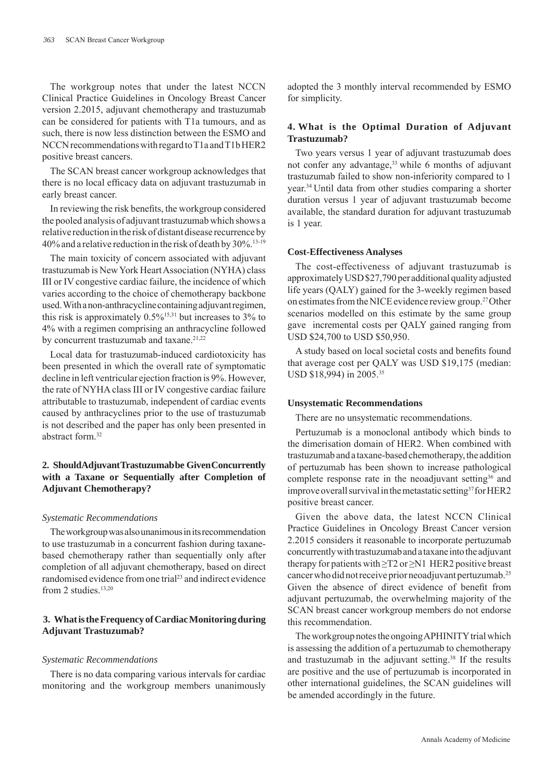The workgroup notes that under the latest NCCN Clinical Practice Guidelines in Oncology Breast Cancer version 2.2015, adjuvant chemotherapy and trastuzumab can be considered for patients with T1a tumours, and as such, there is now less distinction between the ESMO and NCCN recommendations with regard to T1a and T1b HER2 positive breast cancers.

The SCAN breast cancer workgroup acknowledges that there is no local efficacy data on adjuvant trastuzumab in early breast cancer.

In reviewing the risk benefits, the workgroup considered the pooled analysis of adjuvant trastuzumab which shows a relative reduction in the risk of distant disease recurrence by 40% and a relative reduction in the risk of death by 30%.13-19

The main toxicity of concern associated with adjuvant trastuzumab is New York Heart Association (NYHA) class III or IV congestive cardiac failure, the incidence of which varies according to the choice of chemotherapy backbone used. With a non-anthracycline containing adjuvant regimen, this risk is approximately  $0.5\%$ <sup>15,31</sup> but increases to 3% to 4% with a regimen comprising an anthracycline followed by concurrent trastuzumab and taxane.<sup>21,22</sup>

Local data for trastuzumab-induced cardiotoxicity has been presented in which the overall rate of symptomatic decline in left ventricular ejection fraction is 9%. However, the rate of NYHA class III or IV congestive cardiac failure attributable to trastuzumab, independent of cardiac events caused by anthracyclines prior to the use of trastuzumab is not described and the paper has only been presented in abstract form <sup>32</sup>

# **2. Should Adjuvant Trastuzumab be Given Concurrently with a Taxane or Sequentially after Completion of Adjuvant Chemotherapy?**

#### *Systematic Recommendations*

The workgroup was also unanimous in its recommendation to use trastuzumab in a concurrent fashion during taxanebased chemotherapy rather than sequentially only after completion of all adjuvant chemotherapy, based on direct randomised evidence from one trial<sup>23</sup> and indirect evidence from 2 studies.<sup>13,20</sup>

# **3. What is the Frequency of Cardiac Monitoring during Adjuvant Trastuzumab?**

#### *Systematic Recommendations*

There is no data comparing various intervals for cardiac monitoring and the workgroup members unanimously adopted the 3 monthly interval recommended by ESMO for simplicity.

# **4. What is the Optimal Duration of Adjuvant Trastuzumab?**

Two years versus 1 year of adjuvant trastuzumab does not confer any advantage,<sup>33</sup> while 6 months of adjuvant trastuzumab failed to show non-inferiority compared to 1 year.34 Until data from other studies comparing a shorter duration versus 1 year of adjuvant trastuzumab become available, the standard duration for adjuvant trastuzumab is 1 year.

### **Cost-Effectiveness Analyses**

The cost-effectiveness of adjuvant trastuzumab is approximately USD \$27,790 per additional quality adjusted life years (QALY) gained for the 3-weekly regimen based on estimates from the NICE evidence review group.27 Other scenarios modelled on this estimate by the same group gave incremental costs per QALY gained ranging from USD \$24,700 to USD \$50,950.

A study based on local societal costs and benefits found that average cost per QALY was USD \$19,175 (median: USD \$18,994) in 2005.<sup>35</sup>

#### **Unsystematic Recommendations**

There are no unsystematic recommendations.

Pertuzumab is a monoclonal antibody which binds to the dimerisation domain of HER2. When combined with trastuzumab and a taxane-based chemotherapy, the addition of pertuzumab has been shown to increase pathological complete response rate in the neoadjuvant setting<sup>36</sup> and improve overall survival in the metastatic setting<sup>37</sup> for HER2 positive breast cancer.

Given the above data, the latest NCCN Clinical Practice Guidelines in Oncology Breast Cancer version 2.2015 considers it reasonable to incorporate pertuzumab concurrently with trastuzumab and a taxane into the adjuvant therapy for patients with  $\geq$ T2 or  $\geq$ N1 HER2 positive breast cancer who did not receive prior neoadjuvant pertuzumab.25 Given the absence of direct evidence of benefit from adjuvant pertuzumab, the overwhelming majority of the SCAN breast cancer workgroup members do not endorse this recommendation.

The workgroup notes the ongoing APHINITY trial which is assessing the addition of a pertuzumab to chemotherapy and trastuzumab in the adjuvant setting.<sup>38</sup> If the results are positive and the use of pertuzumab is incorporated in other international guidelines, the SCAN guidelines will be amended accordingly in the future.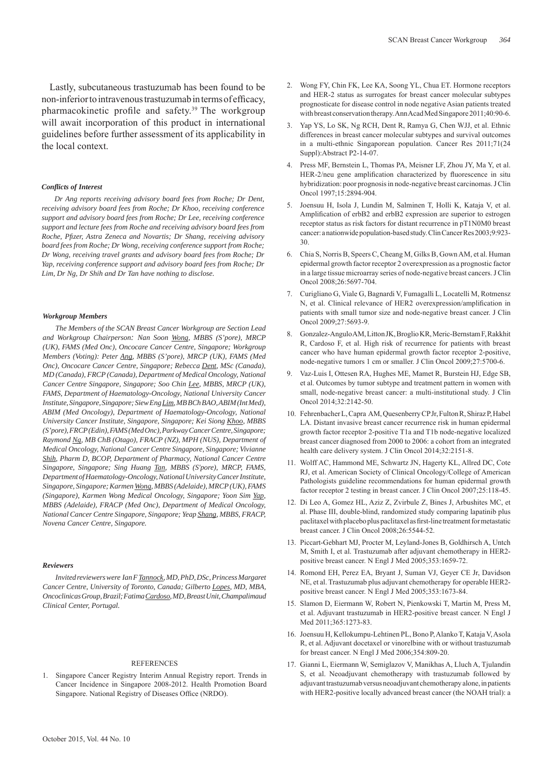Lastly, subcutaneous trastuzumab has been found to be non-inferior to intravenous trastuzumab in terms of efficacy, pharmacokinetic profile and safety.<sup>39</sup> The workgroup will await incorporation of this product in international guidelines before further assessment of its applicability in the local context.

#### *Confl icts of Interest*

*Dr Ang reports receiving advisory board fees from Roche; Dr Dent, receiving advisory board fees from Roche; Dr Khoo, receiving conference support and advisory board fees from Roche; Dr Lee, receiving conference support and lecture fees from Roche and receiving advisory board fees from Roche, Pfi zer, Astra Zeneca and Novartis; Dr Shang, receiving advisory board fees from Roche; Dr Wong, receiving conference support from Roche; Dr Wong, receiving travel grants and advisory board fees from Roche; Dr Yap, receiving conference support and advisory board fees from Roche; Dr Lim, Dr Ng, Dr Shih and Dr Tan have nothing to disclose.*

#### *Workgroup Members*

*The Members of the SCAN Breast Cancer Workgroup are Section Lead and Workgroup Chairperson: Nan Soon Wong, MBBS (S'pore), MRCP (UK), FAMS (Med Onc), Oncocare Cancer Centre, Singapore; Workgroup Members (Voting): Peter Ang, MBBS (S'pore), MRCP (UK), FAMS (Med Onc), Oncocare Cancer Centre, Singapore; Rebecca Dent, MSc (Canada), MD (Canada), FRCP (Canada), Department of Medical Oncology, National Cancer Centre Singapore, Singapore; Soo Chin Lee, MBBS, MRCP (UK), FAMS, Department of Haematology-Oncology, National University Cancer Institute, Singapore, Singapore; Siew Eng Lim, MB BCh BAO, ABIM (Int Med), ABIM (Med Oncology), Department of Haematology-Oncology, National University Cancer Institute, Singapore, Singapore; Kei Siong Khoo, MBBS (S'pore), FRCP (Edin), FAMS (Med Onc), Parkway Cancer Centre, Singapore; Raymond Ng, MB ChB (Otago), FRACP (NZ), MPH (NUS), Department of Medical Oncology, National Cancer Centre Singapore, Singapore; Vivianne Shih, Pharm D, BCOP, Department of Pharmacy, National Cancer Centre Singapore, Singapore; Sing Huang Tan, MBBS (S'pore), MRCP, FAMS, Department of Haematology-Oncology, National University Cancer Institute, Singapore, Singapore; Karmen Wong, MBBS (Adelaide), MRCP (UK), FAMS (Singapore), Karmen Wong Medical Oncology, Singapore; Yoon Sim Yap, MBBS (Adelaide), FRACP (Med Onc), Department of Medical Oncology, National Cancer Centre Singapore, Singapore; Yeap Shang, MBBS, FRACP, Novena Cancer Centre, Singapore.*

#### *Reviewers*

*Invited reviewers were Ian F Tannock, MD, PhD, DSc, Princess Margaret Cancer Centre, University of Toronto, Canada; Gilberto Lopes, MD, MBA, Oncoclinicas Group, Brazil; Fatima Cardoso, MD, Breast Unit, Champalimaud Clinical Center, Portugal.*

#### REFERENCES

1. Singapore Cancer Registry Interim Annual Registry report. Trends in Cancer Incidence in Singapore 2008-2012. Health Promotion Board Singapore. National Registry of Diseases Office (NRDO).

- 2. Wong FY, Chin FK, Lee KA, Soong YL, Chua ET. Hormone receptors and HER-2 status as surrogates for breast cancer molecular subtypes prognosticate for disease control in node negative Asian patients treated with breast conservation therapy. Ann Acad Med Singapore 2011;40:90-6.
- 3. Yap YS, Lo SK, Ng RCH, Dent R, Ramya G, Chen WJJ, et al. Ethnic differences in breast cancer molecular subtypes and survival outcomes in a multi-ethnic Singaporean population. Cancer Res 2011;71(24 Suppl):Abstract P2-14-07.
- 4. Press MF, Bernstein L, Thomas PA, Meisner LF, Zhou JY, Ma Y, et al. HER-2/neu gene amplification characterized by fluorescence in situ hybridization: poor prognosis in node-negative breast carcinomas. J Clin Oncol 1997;15:2894-904.
- 5. Joensuu H, Isola J, Lundin M, Salminen T, Holli K, Kataja V, et al. Amplification of erbB2 and erbB2 expression are superior to estrogen receptor status as risk factors for distant recurrence in pT1N0M0 breast cancer: a nationwide population-based study. Clin Cancer Res 2003;9:923- 30.
- 6. Chia S, Norris B, Speers C, Cheang M, Gilks B, Gown AM, et al. Human epidermal growth factor receptor 2 overexpression as a prognostic factor in a large tissue microarray series of node-negative breast cancers. J Clin Oncol 2008;26:5697-704.
- 7. Curigliano G, Viale G, Bagnardi V, Fumagalli L, Locatelli M, Rotmensz N, et al. Clinical relevance of HER2 overexpression/amplification in patients with small tumor size and node-negative breast cancer. J Clin Oncol 2009;27:5693-9.
- 8. Gonzalez-Angulo AM, Litton JK, Broglio KR, Meric-Bernstam F, Rakkhit R, Cardoso F, et al. High risk of recurrence for patients with breast cancer who have human epidermal growth factor receptor 2-positive, node-negative tumors 1 cm or smaller. J Clin Oncol 2009;27:5700-6.
- 9. Vaz-Luis I, Ottesen RA, Hughes ME, Mamet R, Burstein HJ, Edge SB, et al. Outcomes by tumor subtype and treatment pattern in women with small, node-negative breast cancer: a multi-institutional study. J Clin Oncol 2014;32:2142-50.
- 10. Fehrenbacher L, Capra AM, Quesenberry CP Jr, Fulton R, Shiraz P, Habel LA. Distant invasive breast cancer recurrence risk in human epidermal growth factor receptor 2-positive T1a and T1b node-negative localized breast cancer diagnosed from 2000 to 2006: a cohort from an integrated health care delivery system. J Clin Oncol 2014;32:2151-8.
- 11. Wolff AC, Hammond ME, Schwartz JN, Hagerty KL, Allred DC, Cote RJ, et al. American Society of Clinical Oncology/College of American Pathologists guideline recommendations for human epidermal growth factor receptor 2 testing in breast cancer. J Clin Oncol 2007;25:118-45.
- 12. Di Leo A, Gomez HL, Aziz Z, Zvirbule Z, Bines J, Arbushites MC, et al. Phase III, double-blind, randomized study comparing lapatinib plus paclitaxel with placebo plus paclitaxel as first-line treatment for metastatic breast cancer. J Clin Oncol 2008;26:5544-52.
- 13. Piccart-Gebhart MJ, Procter M, Leyland-Jones B, Goldhirsch A, Untch M, Smith I, et al. Trastuzumab after adjuvant chemotherapy in HER2 positive breast cancer. N Engl J Med 2005;353:1659-72.
- 14. Romond EH, Perez EA, Bryant J, Suman VJ, Geyer CE Jr, Davidson NE, et al. Trastuzumab plus adjuvant chemotherapy for operable HER2 positive breast cancer. N Engl J Med 2005;353:1673-84.
- 15. Slamon D, Eiermann W, Robert N, Pienkowski T, Martin M, Press M, et al. Adjuvant trastuzumab in HER2-positive breast cancer. N Engl J Med 2011;365:1273-83.
- 16. Joensuu H, Kellokumpu-Lehtinen PL, Bono P, Alanko T, Kataja V, Asola R, et al. Adjuvant docetaxel or vinorelbine with or without trastuzumab for breast cancer. N Engl J Med 2006;354:809-20.
- 17. Gianni L, Eiermann W, Semiglazov V, Manikhas A, Lluch A, Tjulandin S, et al. Neoadjuvant chemotherapy with trastuzumab followed by adjuvant trastuzumab versus neoadjuvant chemotherapy alone, in patients with HER2-positive locally advanced breast cancer (the NOAH trial): a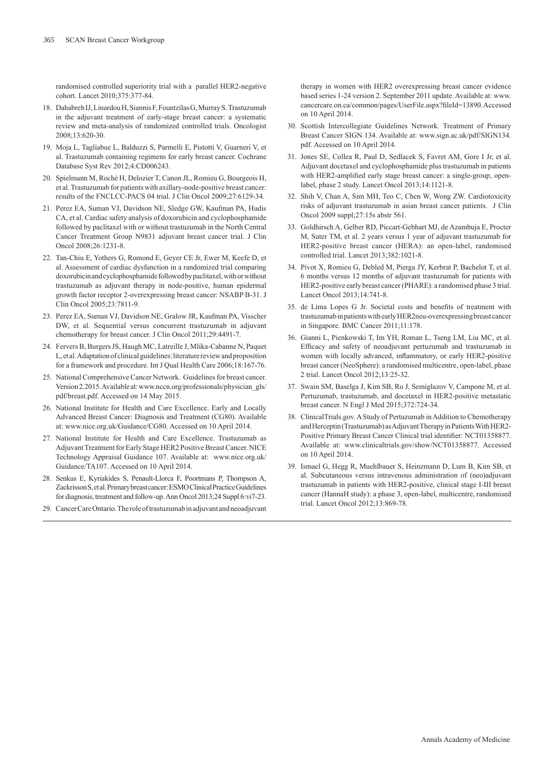randomised controlled superiority trial with a parallel HER2-negative cohort. Lancet 2010;375:377-84.

- 18. Dahabreh IJ, Linardou H, Siannis F, Fountzilas G, Murray S. Trastuzumab in the adjuvant treatment of early-stage breast cancer: a systematic review and meta-analysis of randomized controlled trials. Oncologist 2008;13:620-30.
- 19. Moja L, Tagliabue L, Balduzzi S, Parmelli E, Pistotti V, Guarneri V, et al. Trastuzumab containing regimens for early breast cancer. Cochrane Database Syst Rev 2012;4:CD006243.
- 20. Spielmann M, Roché H, Delozier T, Canon JL, Romieu G, Bourgeois H, et al. Trastuzumab for patients with axillary-node-positive breast cancer: results of the FNCLCC-PACS 04 trial. J Clin Oncol 2009;27:6129-34.
- 21. Perez EA, Suman VJ, Davidson NE, Sledge GW, Kaufman PA, Hudis CA, et al. Cardiac safety analysis of doxorubicin and cyclophosphamide followed by paclitaxel with or without trastuzumab in the North Central Cancer Treatment Group N9831 adjuvant breast cancer trial. J Clin Oncol 2008;26:1231-8.
- 22. Tan-Chiu E, Yothers G, Romond E, Geyer CE Jr, Ewer M, Keefe D, et al. Assessment of cardiac dysfunction in a randomized trial comparing doxorubicin and cyclophosphamide followed by paclitaxel, with or without trastuzumab as adjuvant therapy in node-positive, human epidermal growth factor receptor 2-overexpressing breast cancer: NSABP B-31. J Clin Oncol 2005;23:7811-9.
- 23. Perez EA, Suman VJ, Davidson NE, Gralow JR, Kaufman PA, Visscher DW, et al. Sequential versus concurrent trastuzumab in adjuvant chemotherapy for breast cancer. J Clin Oncol 2011;29:4491-7.
- 24. Fervers B, Burgers JS, Haugh MC, Latreille J, Mlika-Cabanne N, Paquet L, et al. Adaptation of clinical guidelines: literature review and proposition for a framework and procedure. Int J Qual Health Care 2006;18:167-76.
- 25. National Comprehensive Cancer Network. Guidelines for breast cancer. Version 2.2015. Available at: www.nccn.org/professionals/physician\_gls/ pdf/breast.pdf. Accessed on 14 May 2015.
- 26. National Institute for Health and Care Excellence. Early and Locally Advanced Breast Cancer: Diagnosis and Treatment (CG80). Available at: www.nice.org.uk/Guidance/CG80. Accessed on 10 April 2014.
- 27. National Institute for Health and Care Excellence. Trastuzumab as Adjuvant Treatment for Early Stage HER2 Positive Breast Cancer. NICE Technology Appraisal Guidance 107. Available at: www.nice.org.uk/ Guidance/TA107. Accessed on 10 April 2014.
- 28. Senkus E, Kyriakides S, Penault-Llorca F, Poortmans P, Thompson A, Zackrisson S, et al. Primary breast cancer: ESMO Clinical Practice Guidelines for diagnosis, treatment and follow-up. Ann Oncol 2013;24 Suppl 6:vi7-23.
- 29. Cancer Care Ontario. The role of trastuzumab in adjuvant and neoadjuvant

therapy in women with HER2 overexpressing breast cancer evidence based series 1-24 version 2. September 2011 update. Available at: www. cancercare.on.ca/common/pages/UserFile.aspx?fileId=13890.Accessed on 10 April 2014.

- 30. Scottish Intercollegiate Guidelines Network. Treatment of Primary Breast Cancer SIGN 134. Available at: www.sign.ac.uk/pdf/SIGN134. pdf. Accessed on 10 April 2014.
- 31. Jones SE, Collea R, Paul D, Sedlacek S, Favret AM, Gore I Jr, et al. Adjuvant docetaxel and cyclophosphamide plus trastuzumab in patients with HER2-amplified early stage breast cancer: a single-group, openlabel, phase 2 study. Lancet Oncol 2013;14:1121-8.
- 32. Shih V, Chan A, Sim MH, Teo C, Chen W, Wong ZW. Cardiotoxicity risks of adjuvant trastuzumab in asian breast cancer patients. J Clin Oncol 2009 suppl;27:15s abstr 561.
- 33. Goldhirsch A, Gelber RD, Piccart-Gebhart MJ, de Azambuja E, Procter M, Suter TM, et al. 2 years versus 1 year of adjuvant trastuzumab for HER2-positive breast cancer (HERA): an open-label, randomised controlled trial. Lancet 2013;382:1021-8.
- 34. Pivot X, Romieu G, Debled M, Pierga JY, Kerbrat P, Bachelot T, et al. 6 months versus 12 months of adjuvant trastuzumab for patients with HER2-positive early breast cancer (PHARE): a randomised phase 3 trial. Lancet Oncol 2013;14:741-8.
- 35. de Lima Lopes G Jr. Societal costs and benefits of treatment with trastuzumab in patients with early HER2neu-overexpressing breast cancer in Singapore. BMC Cancer 2011;11:178.
- 36. Gianni L, Pienkowski T, Im YH, Roman L, Tseng LM, Liu MC, et al. Efficacy and safety of neoadjuvant pertuzumab and trastuzumab in women with locally advanced, inflammatory, or early HER2-positive breast cancer (NeoSphere): a randomised multicentre, open-label, phase 2 trial. Lancet Oncol 2012;13:25-32.
- 37. Swain SM, Baselga J, Kim SB, Ro J, Semiglazov V, Campone M, et al. Pertuzumab, trastuzumab, and docetaxel in HER2-positive metastatic breast cancer. N Engl J Med 2015;372:724-34.
- 38. ClinicalTrials.gov. A Study of Pertuzumab in Addition to Chemotherapy and Herceptin (Trastuzumab) as Adjuvant Therapy in Patients With HER2- Positive Primary Breast Cancer Clinical trial identifier: NCT01358877. Available at: www.clinicaltrials.gov/show/NCT01358877. Accessed on 10 April 2014.
- 39. Ismael G, Hegg R, Muehlbauer S, Heinzmann D, Lum B, Kim SB, et al. Subcutaneous versus intravenous administration of (neo)adjuvant trastuzumab in patients with HER2-positive, clinical stage I-III breast cancer (HannaH study): a phase 3, open-label, multicentre, randomised trial. Lancet Oncol 2012;13:869-78.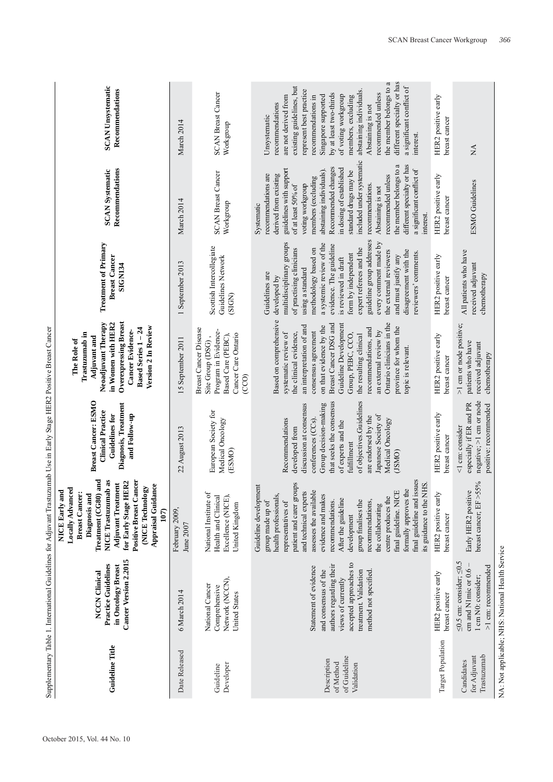| <b>Guideline Title</b>                                 | Cancer Version 2.2015<br>Practice Guidelines<br>in Oncology Breast<br><b>NCCN</b> Clinical                                                                                 | and<br><b>NICE</b> Trastuzumab as<br><b>Positive Breast Cancer</b><br>for Early Stage HER2<br><b>Adjuvant Treatment</b><br>Appraisal Guidance<br>(NICE Technology<br>Locally Advanced<br>NICE Early and<br><b>Breast Cancer:</b><br>Diagnosis and<br>Treatment (CG80)<br>107                                                                                                                                                                               | <b>Breast Cancer: ESMO</b><br>Diagnosis, Treatment<br><b>Clinical Practice</b><br>and Follow-up<br><b>Guidelines for</b>                                                                                                                                                            | <b>Overexpressing Breast</b><br>Neoadjuvant Therapy<br>in Women with HER2<br>Version 2 In Review<br>Based Series 1-24<br>Cancer Evidence-<br>Trastuzumab in<br>Adjuvant and<br>The Role of                                                                                                                                                                                           | <b>Treatment of Primary</b><br><b>Breast Cancer</b><br><b>SIGN134</b>                                                                                                                                                                                                                                                                                                                                                        | Recommendations<br><b>SCAN Systematic</b>                                                                                                                                                                                                                                                                                                                                                                                                                    | <b>SCAN Unsystematic</b><br>Recommendations                                                                                                                                                                                                                                                                                                                                                                |
|--------------------------------------------------------|----------------------------------------------------------------------------------------------------------------------------------------------------------------------------|------------------------------------------------------------------------------------------------------------------------------------------------------------------------------------------------------------------------------------------------------------------------------------------------------------------------------------------------------------------------------------------------------------------------------------------------------------|-------------------------------------------------------------------------------------------------------------------------------------------------------------------------------------------------------------------------------------------------------------------------------------|--------------------------------------------------------------------------------------------------------------------------------------------------------------------------------------------------------------------------------------------------------------------------------------------------------------------------------------------------------------------------------------|------------------------------------------------------------------------------------------------------------------------------------------------------------------------------------------------------------------------------------------------------------------------------------------------------------------------------------------------------------------------------------------------------------------------------|--------------------------------------------------------------------------------------------------------------------------------------------------------------------------------------------------------------------------------------------------------------------------------------------------------------------------------------------------------------------------------------------------------------------------------------------------------------|------------------------------------------------------------------------------------------------------------------------------------------------------------------------------------------------------------------------------------------------------------------------------------------------------------------------------------------------------------------------------------------------------------|
| Date Released                                          | 6 March 2014                                                                                                                                                               | February 2009,<br>June 2007                                                                                                                                                                                                                                                                                                                                                                                                                                | 22 August 2013                                                                                                                                                                                                                                                                      | 15 September 2011                                                                                                                                                                                                                                                                                                                                                                    | 1 September 2013                                                                                                                                                                                                                                                                                                                                                                                                             | March 2014                                                                                                                                                                                                                                                                                                                                                                                                                                                   | March 2014                                                                                                                                                                                                                                                                                                                                                                                                 |
| Developer<br>Guideline                                 | Network (NCCN),<br>National Cancer<br>Comprehensive<br><b>United States</b>                                                                                                | National Institute of<br>Health and Clinical<br>Excellence (NICE),<br>United Kingdom                                                                                                                                                                                                                                                                                                                                                                       | European Society for<br>Medical Oncology<br>(ESMO)                                                                                                                                                                                                                                  | <b>Breast Cancer Disease</b><br>Program in Evidence-<br>Cancer Care Ontario<br>Based Care (PEBC),<br>Site Group (DSG),<br>$\left(\mathrm{CO}\right)$                                                                                                                                                                                                                                 | Scottish Intercollegiate<br><b>Guidelines Network</b><br>(SIGN)                                                                                                                                                                                                                                                                                                                                                              | <b>SCAN Breast Cancer</b><br>Workgroup                                                                                                                                                                                                                                                                                                                                                                                                                       | <b>SCAN Breast Cancer</b><br>Workgroup                                                                                                                                                                                                                                                                                                                                                                     |
| of Guideline<br>Description<br>of Method<br>Validation | accepted approaches to<br>authors regarding their<br>Statement of evidence<br>treatment. Validation<br>and consensus of the<br>method not specified.<br>views of currently | final guideline and issues<br>patient and carer groups<br>its guidance to the NHS.<br>Guideline development<br>formally approves the<br>and technical experts<br>assesses the available<br>final guideline. NICE<br>health professionals,<br>evidence and makes<br>centre produces the<br>After the guideline<br>representatives of<br>recommendations.<br>group finalises the<br>group made up of<br>recommendations,<br>the collaborating<br>development | that seeks the consensus<br>of objectives.Guidelines<br>Group decision-making<br>discussion at consensus<br>Japanese Society of<br>are endorsed by the<br>Recommendations<br>conferences (CCs)<br>Medical Oncology<br>of experts and the<br>developed from<br>fulfillment<br>(JSMO) | Based on comprehensive<br>Ontario clinicians in the<br>Guideline Development<br>Breast Cancer DSG and<br>an interpretation of and<br>on that evidence by the<br>province for whom the<br>recommendations, and<br>an external review by<br>consensus agreement<br>systematic review of<br>the clinical evidence,<br>Group, PEBC, CCO,<br>the resulting clinical<br>topic is relevant. | guideline group addresses<br>multidisciplinary groups<br>every comment made by<br>a systemic review of the<br>evidence. The guideline<br>expert referees and the<br>methodology based on<br>of practising clinicians<br>disagreement with the<br>the external reviewers<br>reviewers' comments.<br>form by independent<br>and must justify any<br>is reviewed in draft<br>using a standard<br>Guidelines are<br>developed by | included under systematic<br>the member belongs to a<br>different specialty or has<br>Recommended changes<br>in dosing of established<br>a significant conflict of<br>guidelines with support<br>abstaining individuals).<br>standard drugs may be<br>recommendations are<br>derived from existing<br>recommended unless<br>members (excluding<br>recommendations.<br>voting workgroup<br>of at least 50% of<br>Abstaining is not<br>Systematic<br>interest. | different specialty or has<br>the member belongs to a<br>a significant conflict of<br>existing guidelines, but<br>represent best practice<br>abstaining individuals.<br>recommended unless<br>by at least two-thirds<br>of voting workgroup<br>Singapore supported<br>are not derived from<br>members, excluding<br>recommendations in<br>recommendations<br>Abstaining is not<br>Unsystematic<br>interest |
| Target Population                                      | HER2 positive early<br>breast cancer                                                                                                                                       | HER2 positive early<br>breast cancer                                                                                                                                                                                                                                                                                                                                                                                                                       | HER2 positive early<br>breast cancer                                                                                                                                                                                                                                                | HER2 positive early<br>breast cancer                                                                                                                                                                                                                                                                                                                                                 | HER2 positive early<br>breast cancer                                                                                                                                                                                                                                                                                                                                                                                         | HER2 positive early<br>breast cancer                                                                                                                                                                                                                                                                                                                                                                                                                         | HER2 positive early<br>breast cancer                                                                                                                                                                                                                                                                                                                                                                       |
| Trastuzumab<br>for Adjuvant<br>Candidates              | S<br>>1 cm: recommended<br>$\leq 0.5$ cm: consider; $\leq 0$ .<br>cm and N1mic or 0.6<br>1 cm N0: consider;                                                                | breast cancer; EF $>55\%$<br>Early HER2 positive                                                                                                                                                                                                                                                                                                                                                                                                           | negative; >1 cm or node<br>especially if ER and PR<br>positive: recommended<br><1 cm: consider                                                                                                                                                                                      | >1 cm or node positive;<br>patients who have<br>received adjuvant<br>chemotherapy                                                                                                                                                                                                                                                                                                    | All patients who have<br>received adjuvant<br>chemotherapy                                                                                                                                                                                                                                                                                                                                                                   | <b>ESMO</b> Guidelines                                                                                                                                                                                                                                                                                                                                                                                                                                       | $\lesssim$                                                                                                                                                                                                                                                                                                                                                                                                 |
|                                                        | NA: Not applicable; NHS: National Health Service                                                                                                                           |                                                                                                                                                                                                                                                                                                                                                                                                                                                            |                                                                                                                                                                                                                                                                                     |                                                                                                                                                                                                                                                                                                                                                                                      |                                                                                                                                                                                                                                                                                                                                                                                                                              |                                                                                                                                                                                                                                                                                                                                                                                                                                                              |                                                                                                                                                                                                                                                                                                                                                                                                            |

October 2015, Vol. 44 No. 10